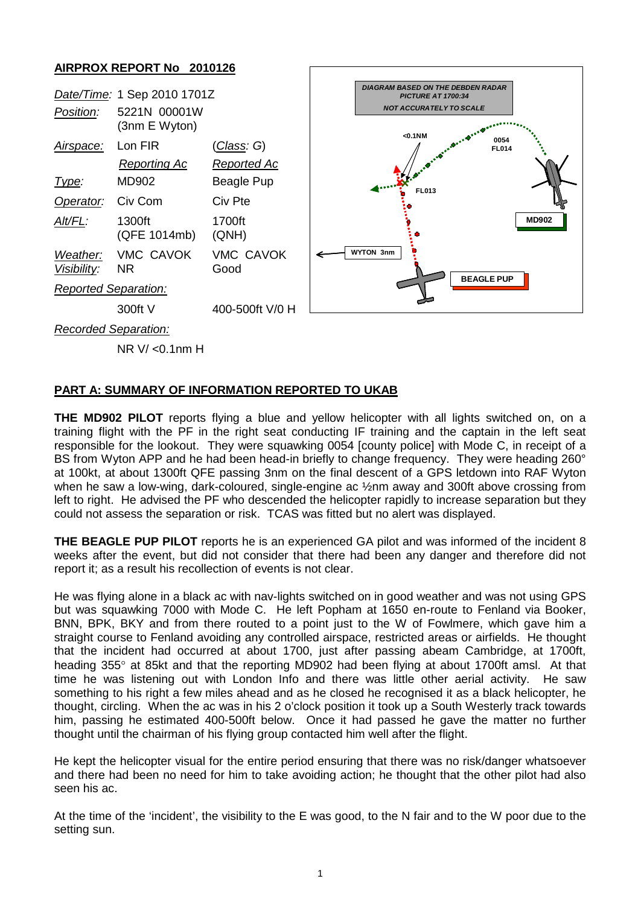## **AIRPROX REPORT No 2010126**



NR V/ <0.1nm H

## **PART A: SUMMARY OF INFORMATION REPORTED TO UKAB**

**THE MD902 PILOT** reports flying a blue and yellow helicopter with all lights switched on, on a training flight with the PF in the right seat conducting IF training and the captain in the left seat responsible for the lookout. They were squawking 0054 [county police] with Mode C, in receipt of a BS from Wyton APP and he had been head-in briefly to change frequency. They were heading 260° at 100kt, at about 1300ft QFE passing 3nm on the final descent of a GPS letdown into RAF Wyton when he saw a low-wing, dark-coloured, single-engine ac ½nm away and 300ft above crossing from left to right. He advised the PF who descended the helicopter rapidly to increase separation but they could not assess the separation or risk. TCAS was fitted but no alert was displayed.

**THE BEAGLE PUP PILOT** reports he is an experienced GA pilot and was informed of the incident 8 weeks after the event, but did not consider that there had been any danger and therefore did not report it; as a result his recollection of events is not clear.

He was flying alone in a black ac with nav-lights switched on in good weather and was not using GPS but was squawking 7000 with Mode C. He left Popham at 1650 en-route to Fenland via Booker, BNN, BPK, BKY and from there routed to a point just to the W of Fowlmere, which gave him a straight course to Fenland avoiding any controlled airspace, restricted areas or airfields. He thought that the incident had occurred at about 1700, just after passing abeam Cambridge, at 1700ft, heading 355° at 85kt and that the reporting MD902 had been flying at about 1700ft amsl. At that time he was listening out with London Info and there was little other aerial activity. He saw something to his right a few miles ahead and as he closed he recognised it as a black helicopter, he thought, circling. When the ac was in his 2 o'clock position it took up a South Westerly track towards him, passing he estimated 400-500ft below. Once it had passed he gave the matter no further thought until the chairman of his flying group contacted him well after the flight.

He kept the helicopter visual for the entire period ensuring that there was no risk/danger whatsoever and there had been no need for him to take avoiding action; he thought that the other pilot had also seen his ac.

At the time of the 'incident', the visibility to the E was good, to the N fair and to the W poor due to the setting sun.